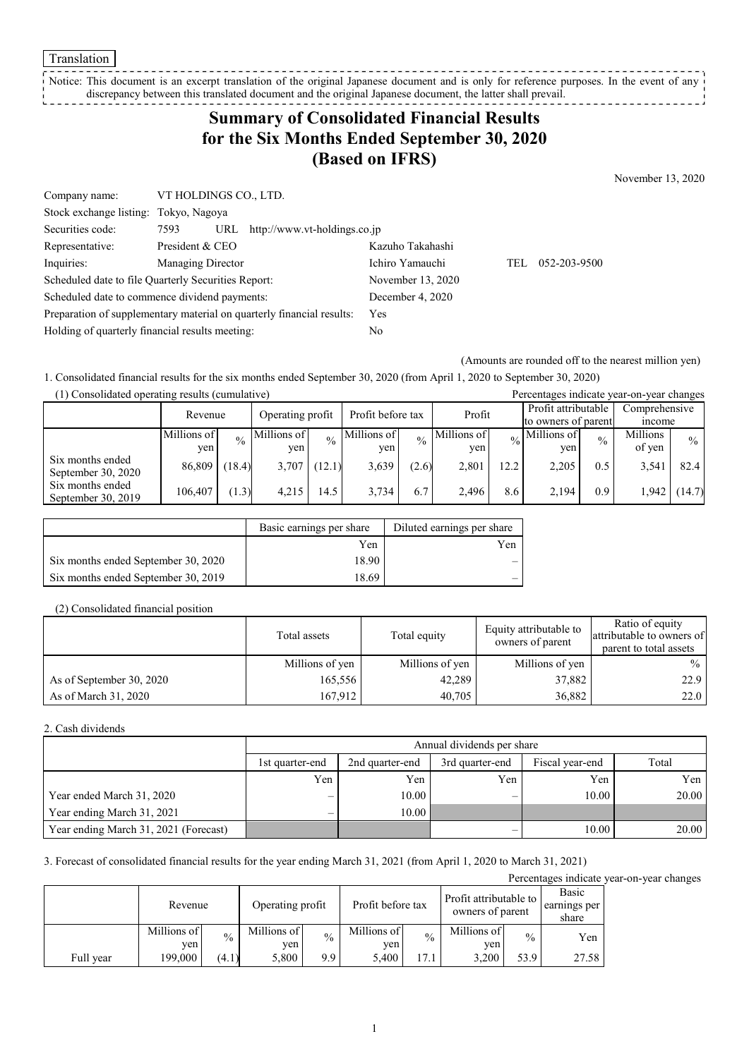Translation

Notice: This document is an excerpt translation of the original Japanese document and is only for reference purposes. In the event of any discrepancy between this translated document and the original Japanese document, the latter shall prevail. 

## **Summary of Consolidated Financial Results for the Six Months Ended September 30, 2020 (Based on IFRS)**

November 13, 2020

| Company name:                                                         | VT HOLDINGS CO., LTD. |     |                                    |                   |     |              |
|-----------------------------------------------------------------------|-----------------------|-----|------------------------------------|-------------------|-----|--------------|
| Stock exchange listing: Tokyo, Nagoya                                 |                       |     |                                    |                   |     |              |
| Securities code:                                                      | 7593                  |     | URL $http://www.vt-holdings.co.jp$ |                   |     |              |
| Representative:                                                       | President & CEO       |     |                                    | Kazuho Takahashi  |     |              |
| Inquiries:                                                            | Managing Director     |     |                                    | Ichiro Yamauchi   | TEL | 052-203-9500 |
| Scheduled date to file Quarterly Securities Report:                   |                       |     |                                    | November 13, 2020 |     |              |
| Scheduled date to commence dividend payments:                         |                       |     | December 4, 2020                   |                   |     |              |
| Preparation of supplementary material on quarterly financial results: |                       | Yes |                                    |                   |     |              |
| Holding of quarterly financial results meeting:                       |                       | No  |                                    |                   |     |              |

(Amounts are rounded off to the nearest million yen)

1. Consolidated financial results for the six months ended September 30, 2020 (from April 1, 2020 to September 30, 2020)

| (1) Consolidated operating results (cumulative) |             |               |                                       |               |             |               | Percentages indicate year-on-year changes |      |                            |               |               |               |
|-------------------------------------------------|-------------|---------------|---------------------------------------|---------------|-------------|---------------|-------------------------------------------|------|----------------------------|---------------|---------------|---------------|
|                                                 | Revenue     |               | Profit before tax<br>Operating profit |               | Profit      |               | Profit attributable                       |      | Comprehensive              |               |               |               |
|                                                 |             |               |                                       |               |             |               |                                           |      | to owners of parent        |               | <i>n</i> come |               |
|                                                 | Millions of | $\frac{0}{0}$ | Millions of                           | $\frac{0}{0}$ | Millions of | $\frac{0}{0}$ | Millions of                               |      | $\frac{1}{20}$ Millions of | $\frac{0}{0}$ | Millions      | $\frac{0}{0}$ |
|                                                 | yen         |               | yen                                   |               | ven         |               | yen                                       |      | ven                        |               | of yen        |               |
| Six months ended<br>September 30, 2020          | 86,809      | (18.4)        | 3,707                                 | (12.1)        | 3,639       | (2.6)         | 2,801                                     | 12.2 | 2,205                      | 0.5           | 3,541         | 82.4          |
| Six months ended<br>September 30, 2019          | 106,407     | (1.3)         | 4.215                                 | 14.5          | 3.734       | 6.7           | 2.496                                     | 8.6  | 2.194                      | 0.9           | 1.942         | (14.7)        |

|                                     | Basic earnings per share | Diluted earnings per share |
|-------------------------------------|--------------------------|----------------------------|
|                                     | Yen                      | Yen                        |
| Six months ended September 30, 2020 | 18.90                    |                            |
| Six months ended September 30, 2019 | 18.69                    |                            |

#### (2) Consolidated financial position

|                          | Total assets    | Total equity    | Equity attributable to<br>owners of parent | Ratio of equity<br>attributable to owners of<br>parent to total assets |
|--------------------------|-----------------|-----------------|--------------------------------------------|------------------------------------------------------------------------|
|                          | Millions of yen | Millions of yen | Millions of yen                            | $\%$                                                                   |
| As of September 30, 2020 | 165,556         | 42,289          | 37,882                                     | 22.9                                                                   |
| As of March 31, 2020     | 167.912         | 40,705          | 36,882                                     | 22.0                                                                   |

#### 2. Cash dividends

|                                       |                          | Annual dividends per share                            |     |       |       |  |  |  |
|---------------------------------------|--------------------------|-------------------------------------------------------|-----|-------|-------|--|--|--|
|                                       | 1st quarter-end          | Fiscal year-end<br>2nd quarter-end<br>3rd quarter-end |     |       |       |  |  |  |
|                                       | Yen                      | Yen                                                   | Yen | Yen   | Yen   |  |  |  |
| Year ended March 31, 2020             | —                        | 10.00                                                 | _   | 10.00 | 20.00 |  |  |  |
| Year ending March 31, 2021            | $\overline{\phantom{0}}$ | $10.00\text{ }$                                       |     |       |       |  |  |  |
| Year ending March 31, 2021 (Forecast) |                          |                                                       |     | 10.00 | 20.00 |  |  |  |

3. Forecast of consolidated financial results for the year ending March 31, 2021 (from April 1, 2020 to March 31, 2021)

Percentages indicate year-on-year changes

|           | Revenue            |               | Profit attributable to<br>Profit before tax<br>Operating profit<br>owners of parent |               |                    |               | Basic<br>earnings per<br>share |               |       |
|-----------|--------------------|---------------|-------------------------------------------------------------------------------------|---------------|--------------------|---------------|--------------------------------|---------------|-------|
|           | Millions of<br>ven | $\frac{0}{0}$ | Millions of<br>ven                                                                  | $\frac{0}{0}$ | Millions of<br>ven | $\frac{0}{0}$ | Millions of<br>ven             | $\frac{0}{0}$ | Yen   |
| Full year | 199.000            | (4.1)         | 5,800                                                                               | 9.9           | 5.400              | 17.1          | 3.200                          | 53.9          | 27.58 |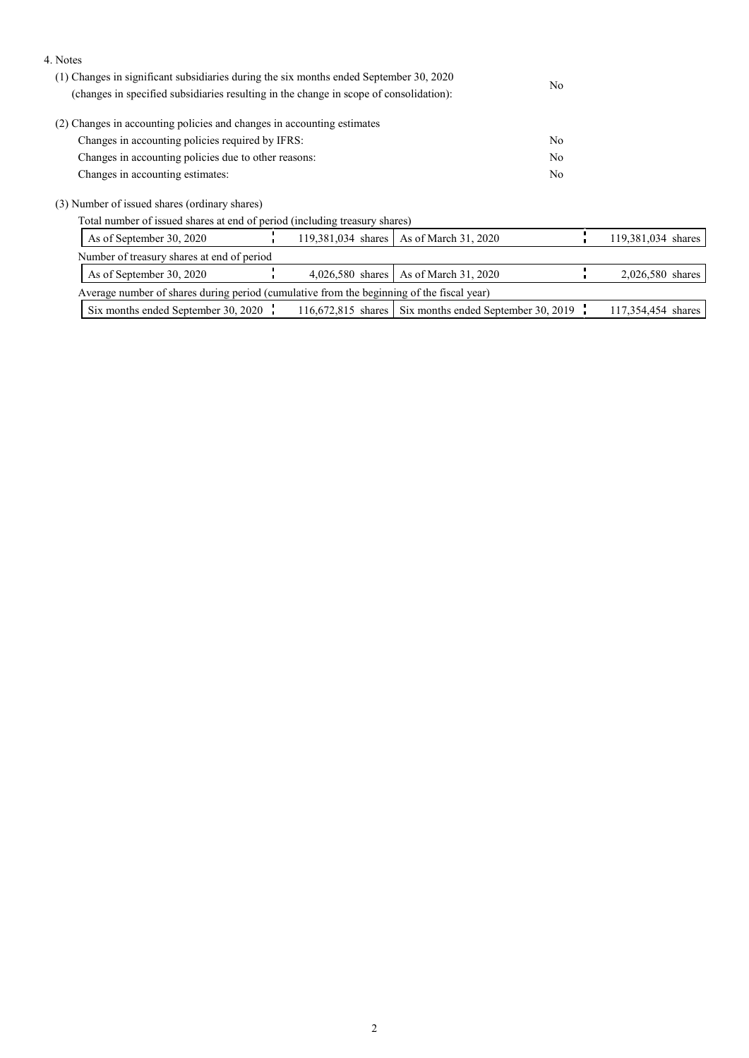| 4. Notes                                                                                                                                                                         |                |                    |
|----------------------------------------------------------------------------------------------------------------------------------------------------------------------------------|----------------|--------------------|
| (1) Changes in significant subsidiaries during the six months ended September 30, 2020<br>(changes in specified subsidiaries resulting in the change in scope of consolidation): | No.            |                    |
| (2) Changes in accounting policies and changes in accounting estimates                                                                                                           |                |                    |
| Changes in accounting policies required by IFRS:                                                                                                                                 | No             |                    |
| Changes in accounting policies due to other reasons:                                                                                                                             | No.            |                    |
| Changes in accounting estimates:                                                                                                                                                 | N <sub>o</sub> |                    |
| (3) Number of issued shares (ordinary shares)                                                                                                                                    |                |                    |
| Total number of issued shares at end of period (including treasury shares)                                                                                                       |                |                    |
| 119.381.034 shares<br>As of September 30, 2020<br>As of March 31, 2020                                                                                                           |                | 119,381,034 shares |
| Number of treasury shares at end of period                                                                                                                                       |                |                    |
| As of March 31, 2020<br>As of September 30, 2020<br>$4,026,580$ shares                                                                                                           |                | 2,026,580 shares   |
| Average number of shares during period (cumulative from the beginning of the fiscal year)                                                                                        |                |                    |

|                                     | ------                                                 |                     |
|-------------------------------------|--------------------------------------------------------|---------------------|
| Six months ended September 30, 2020 | 116.672.815 shares Six months ended September 30, 2019 | $-254454$<br>shares |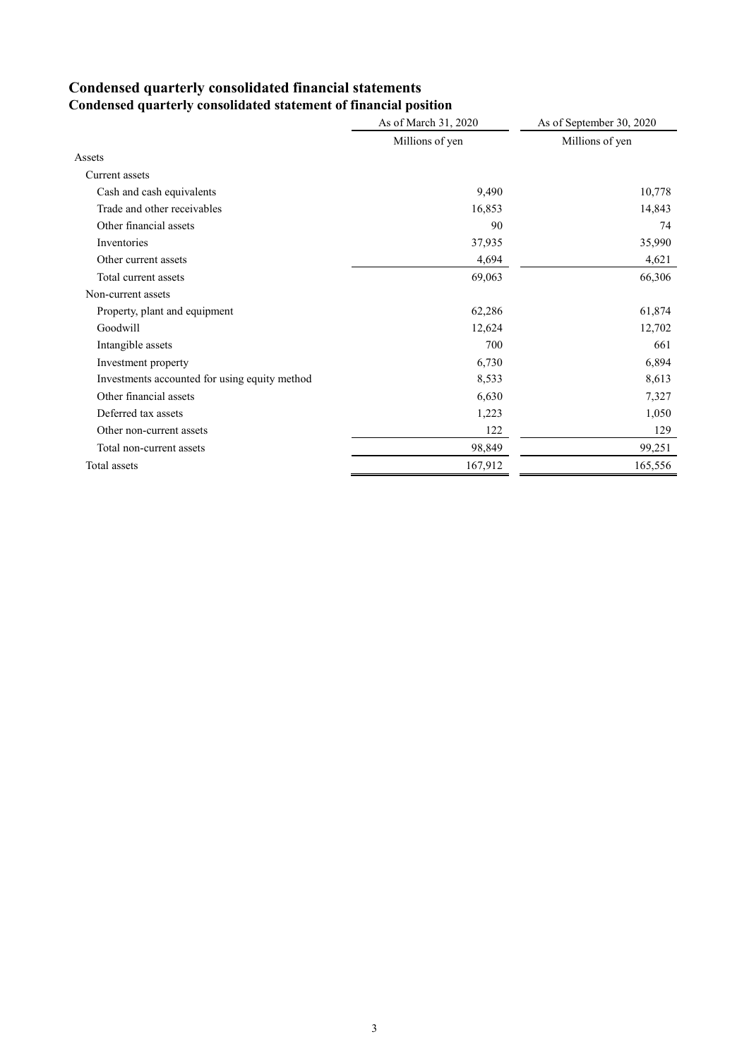# **Condensed quarterly consolidated financial statements**

|                                               | As of March 31, 2020 | As of September 30, 2020 |
|-----------------------------------------------|----------------------|--------------------------|
|                                               | Millions of yen      | Millions of yen          |
| Assets                                        |                      |                          |
| Current assets                                |                      |                          |
| Cash and cash equivalents                     | 9,490                | 10,778                   |
| Trade and other receivables                   | 16,853               | 14,843                   |
| Other financial assets                        | 90                   | 74                       |
| Inventories                                   | 37,935               | 35,990                   |
| Other current assets                          | 4,694                | 4,621                    |
| Total current assets                          | 69,063               | 66,306                   |
| Non-current assets                            |                      |                          |
| Property, plant and equipment                 | 62,286               | 61,874                   |
| Goodwill                                      | 12,624               | 12,702                   |
| Intangible assets                             | 700                  | 661                      |
| Investment property                           | 6,730                | 6,894                    |
| Investments accounted for using equity method | 8,533                | 8,613                    |
| Other financial assets                        | 6,630                | 7,327                    |
| Deferred tax assets                           | 1,223                | 1,050                    |
| Other non-current assets                      | 122                  | 129                      |
| Total non-current assets                      | 98,849               | 99,251                   |
| Total assets                                  | 167,912              | 165,556                  |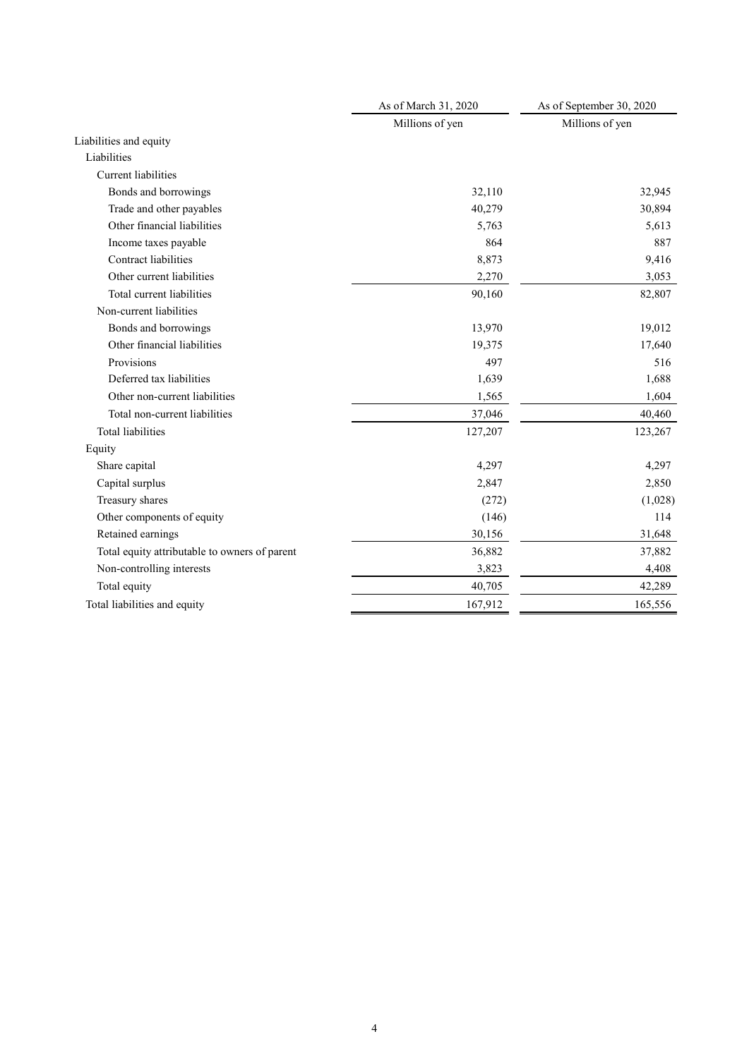|                                               | As of March 31, 2020 | As of September 30, 2020 |  |
|-----------------------------------------------|----------------------|--------------------------|--|
|                                               | Millions of yen      | Millions of yen          |  |
| Liabilities and equity                        |                      |                          |  |
| Liabilities                                   |                      |                          |  |
| <b>Current</b> liabilities                    |                      |                          |  |
| Bonds and borrowings                          | 32,110               | 32,945                   |  |
| Trade and other payables                      | 40,279               | 30,894                   |  |
| Other financial liabilities                   | 5,763                | 5,613                    |  |
| Income taxes payable                          | 864                  | 887                      |  |
| <b>Contract liabilities</b>                   | 8,873                | 9,416                    |  |
| Other current liabilities                     | 2,270                | 3,053                    |  |
| Total current liabilities                     | 90,160               | 82,807                   |  |
| Non-current liabilities                       |                      |                          |  |
| Bonds and borrowings                          | 13,970               | 19,012                   |  |
| Other financial liabilities                   | 19,375               | 17,640                   |  |
| Provisions                                    | 497                  | 516                      |  |
| Deferred tax liabilities                      | 1,639                | 1,688                    |  |
| Other non-current liabilities                 | 1,565                | 1,604                    |  |
| Total non-current liabilities                 | 37,046               | 40,460                   |  |
| <b>Total liabilities</b>                      | 127,207              | 123,267                  |  |
| Equity                                        |                      |                          |  |
| Share capital                                 | 4,297                | 4,297                    |  |
| Capital surplus                               | 2,847                | 2,850                    |  |
| Treasury shares                               | (272)                | (1,028)                  |  |
| Other components of equity                    | (146)                | 114                      |  |
| Retained earnings                             | 30,156               | 31,648                   |  |
| Total equity attributable to owners of parent | 36,882               | 37,882                   |  |
| Non-controlling interests                     | 3,823                | 4,408                    |  |
| Total equity                                  | 40,705               | 42,289                   |  |
| Total liabilities and equity                  | 167,912              | 165,556                  |  |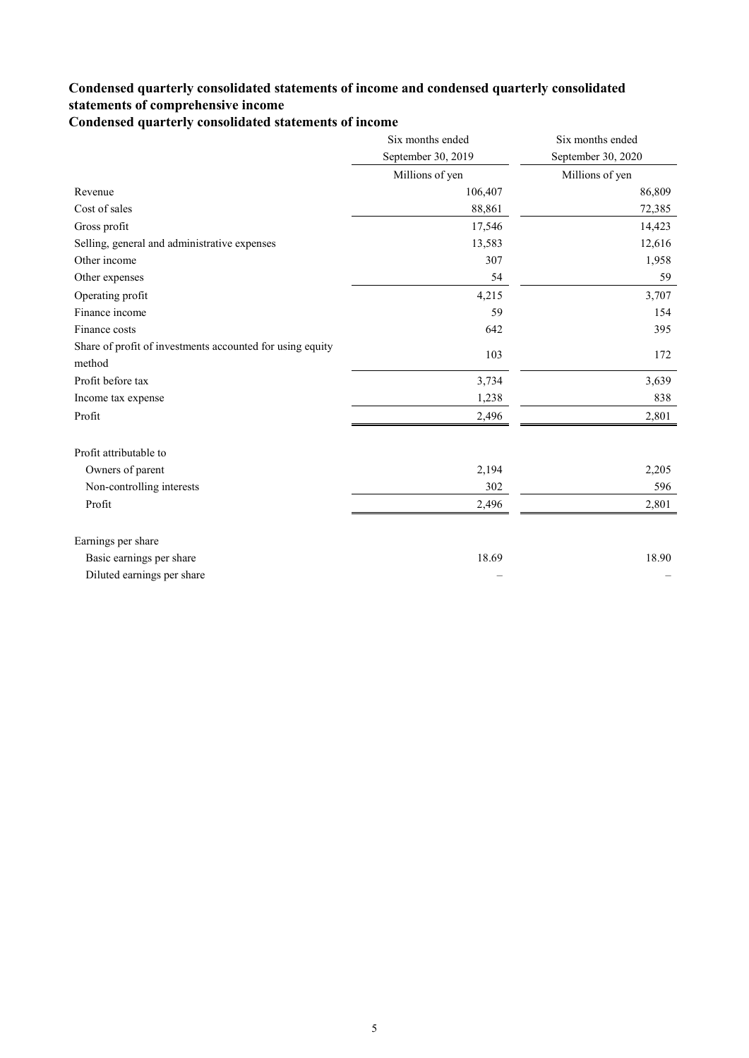### **Condensed quarterly consolidated statements of income and condensed quarterly consolidated statements of comprehensive income**

**Condensed quarterly consolidated statements of income**

|                                                                     | Six months ended   | Six months ended   |
|---------------------------------------------------------------------|--------------------|--------------------|
|                                                                     | September 30, 2019 | September 30, 2020 |
|                                                                     | Millions of yen    | Millions of yen    |
| Revenue                                                             | 106,407            | 86,809             |
| Cost of sales                                                       | 88,861             | 72,385             |
| Gross profit                                                        | 17,546             | 14,423             |
| Selling, general and administrative expenses                        | 13,583             | 12,616             |
| Other income                                                        | 307                | 1,958              |
| Other expenses                                                      | 54                 | 59                 |
| Operating profit                                                    | 4,215              | 3,707              |
| Finance income                                                      | 59                 | 154                |
| Finance costs                                                       | 642                | 395                |
| Share of profit of investments accounted for using equity<br>method | 103                | 172                |
| Profit before tax                                                   | 3,734              | 3,639              |
| Income tax expense                                                  | 1,238              | 838                |
| Profit                                                              | 2,496              | 2,801              |
| Profit attributable to                                              |                    |                    |
| Owners of parent                                                    | 2,194              | 2,205              |
| Non-controlling interests                                           | 302                | 596                |
| Profit                                                              | 2,496              | 2,801              |
| Earnings per share                                                  |                    |                    |
| Basic earnings per share                                            | 18.69              | 18.90              |
| Diluted earnings per share                                          |                    |                    |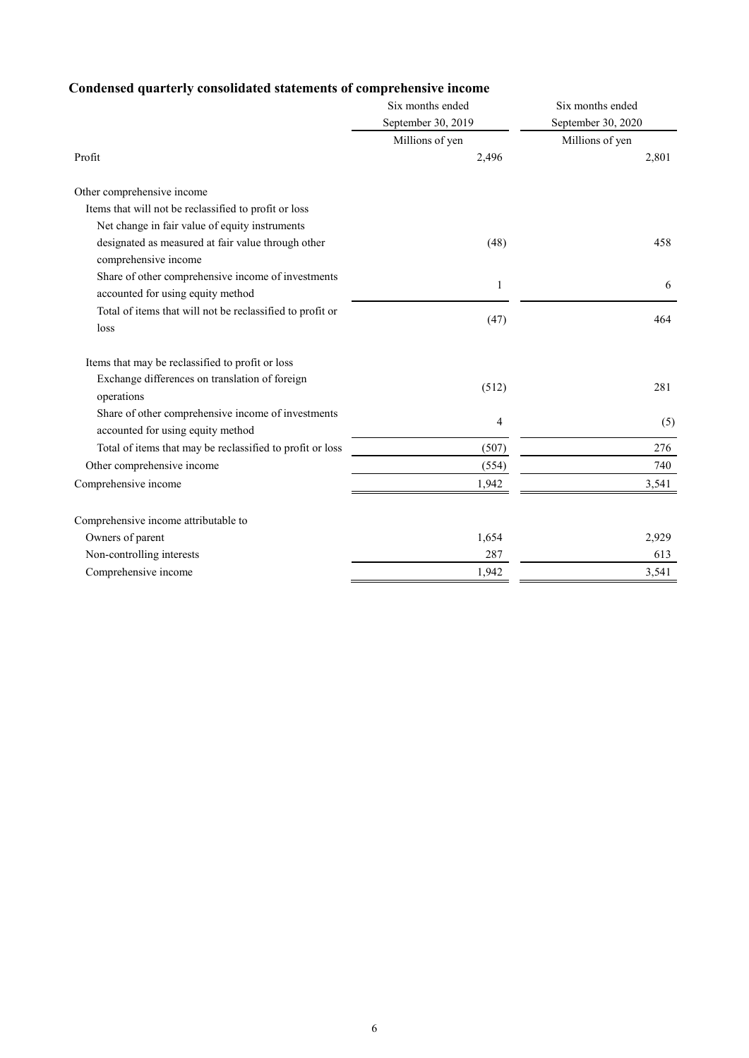### **Condensed quarterly consolidated statements of comprehensive income**

|                                                           | Six months ended   | Six months ended   |  |
|-----------------------------------------------------------|--------------------|--------------------|--|
|                                                           | September 30, 2019 | September 30, 2020 |  |
|                                                           | Millions of yen    | Millions of yen    |  |
| Profit                                                    | 2,496              | 2,801              |  |
| Other comprehensive income                                |                    |                    |  |
| Items that will not be reclassified to profit or loss     |                    |                    |  |
| Net change in fair value of equity instruments            |                    |                    |  |
| designated as measured at fair value through other        | (48)               | 458                |  |
| comprehensive income                                      |                    |                    |  |
| Share of other comprehensive income of investments        | 1                  | 6                  |  |
| accounted for using equity method                         |                    |                    |  |
| Total of items that will not be reclassified to profit or |                    | 464                |  |
| loss                                                      | (47)               |                    |  |
| Items that may be reclassified to profit or loss          |                    |                    |  |
| Exchange differences on translation of foreign            |                    | 281                |  |
| operations                                                | (512)              |                    |  |
| Share of other comprehensive income of investments        | 4                  |                    |  |
| accounted for using equity method                         |                    | (5)                |  |
| Total of items that may be reclassified to profit or loss | (507)              | 276                |  |
| Other comprehensive income                                | (554)              | 740                |  |
| Comprehensive income                                      | 1,942              | 3,541              |  |
| Comprehensive income attributable to                      |                    |                    |  |
| Owners of parent                                          | 1,654              | 2,929              |  |
| Non-controlling interests                                 | 287                | 613                |  |
| Comprehensive income                                      | 1,942              | 3,541              |  |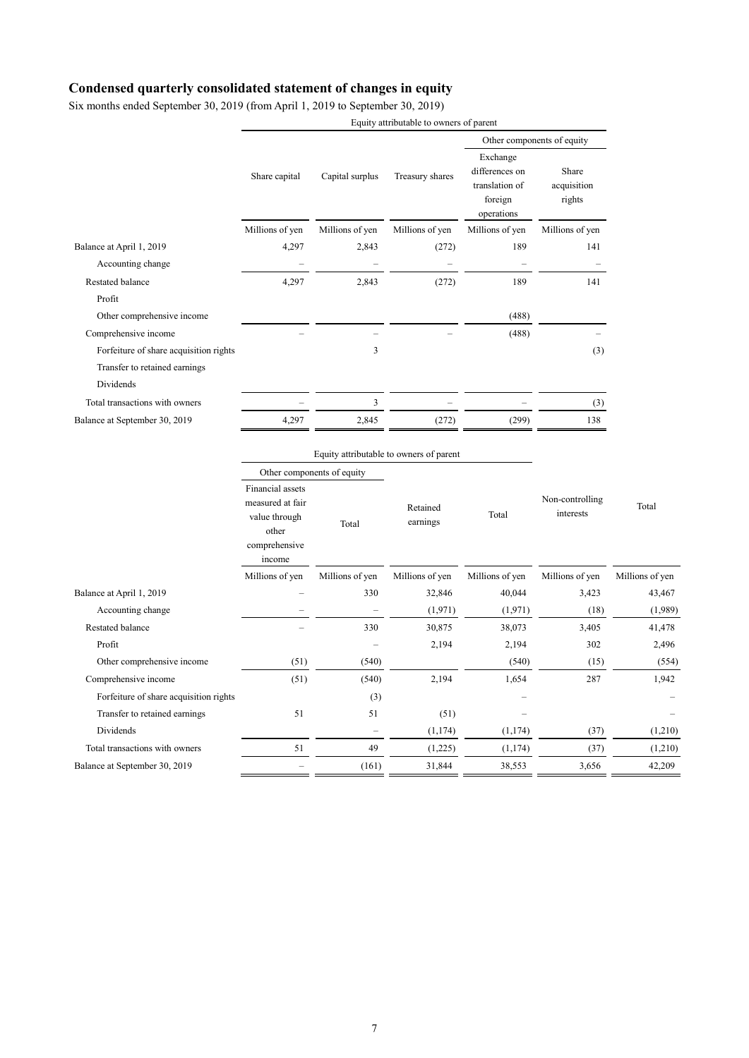#### **Condensed quarterly consolidated statement of changes in equity**

Six months ended September 30, 2019 (from April 1, 2019 to September 30, 2019)

|                                        |                                                                                           |                   | Equity attributable to owners of parent |                                                                       |                                |                 |
|----------------------------------------|-------------------------------------------------------------------------------------------|-------------------|-----------------------------------------|-----------------------------------------------------------------------|--------------------------------|-----------------|
|                                        |                                                                                           |                   |                                         | Other components of equity                                            |                                |                 |
|                                        | Share capital                                                                             | Capital surplus   | Treasury shares                         | Exchange<br>differences on<br>translation of<br>foreign<br>operations | Share<br>acquisition<br>rights |                 |
|                                        | Millions of yen                                                                           | Millions of yen   | Millions of yen                         | Millions of yen                                                       | Millions of yen                |                 |
| Balance at April 1, 2019               | 4,297                                                                                     | 2,843             | (272)                                   | 189                                                                   | 141                            |                 |
| Accounting change                      |                                                                                           |                   |                                         |                                                                       |                                |                 |
| Restated balance                       | 4,297                                                                                     | 2,843             | (272)                                   | 189                                                                   | 141                            |                 |
| Profit                                 |                                                                                           |                   |                                         |                                                                       |                                |                 |
| Other comprehensive income             |                                                                                           |                   |                                         | (488)                                                                 |                                |                 |
| Comprehensive income                   |                                                                                           |                   |                                         | (488)                                                                 |                                |                 |
| Forfeiture of share acquisition rights |                                                                                           | 3                 |                                         |                                                                       | (3)                            |                 |
| Transfer to retained earnings          |                                                                                           |                   |                                         |                                                                       |                                |                 |
| Dividends                              |                                                                                           |                   |                                         |                                                                       |                                |                 |
| Total transactions with owners         |                                                                                           | 3                 |                                         |                                                                       | (3)                            |                 |
| Balance at September 30, 2019          | 4,297                                                                                     | 2,845             | (272)                                   | (299)                                                                 | 138                            |                 |
|                                        | Equity attributable to owners of parent<br>Other components of equity                     |                   |                                         |                                                                       |                                |                 |
|                                        | Financial assets<br>measured at fair<br>value through<br>other<br>comprehensive<br>income | Total             | Retained<br>earnings                    | Total                                                                 | Non-controlling<br>interests   | Total           |
|                                        | Millions of yen                                                                           | Millions of yen   | Millions of yen                         | Millions of yen                                                       | Millions of yen                | Millions of yen |
| Balance at April 1, 2019               |                                                                                           | 330               | 32,846                                  | 40,044                                                                | 3,423                          | 43,467          |
| Accounting change                      |                                                                                           |                   | (1,971)                                 | (1,971)                                                               | (18)                           | (1,989)         |
| Restated balance                       |                                                                                           | 330               | 30,875                                  | 38,073                                                                | 3,405                          | 41,478          |
| Profit                                 |                                                                                           |                   | 2,194                                   | 2,194                                                                 | 302                            | 2,496           |
| Other comprehensive income             | (51)                                                                                      | (540)             |                                         | (540)                                                                 | (15)                           | (554)           |
| Comprehensive income                   | (51)                                                                                      | (540)             | 2,194                                   | 1,654                                                                 | 287                            | 1,942           |
| Forfeiture of share acquisition rights |                                                                                           | (3)               |                                         |                                                                       |                                |                 |
| Transfer to retained earnings          | 51                                                                                        | 51                | (51)                                    |                                                                       |                                |                 |
| Dividends                              |                                                                                           | $\qquad \qquad -$ | (1, 174)                                | (1, 174)                                                              | (37)                           | (1,210)         |
| Total transactions with owners         | 51                                                                                        | 49                | (1,225)                                 | (1,174)                                                               | (37)                           | (1,210)         |
| Balance at September 30, 2019          | $\overline{\phantom{0}}$                                                                  | (161)             | 31,844                                  | 38,553                                                                | 3,656                          | 42,209          |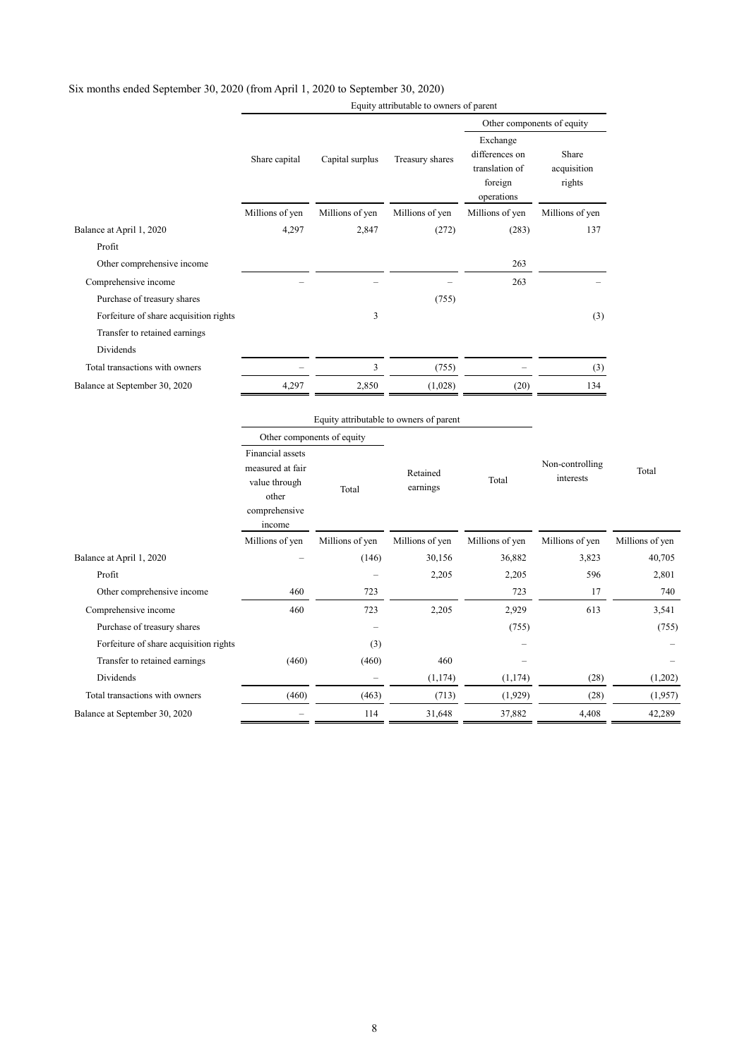|                                        | Equity attributable to owners of parent                                                   |                          |                                         |                                                                       |                                |                 |
|----------------------------------------|-------------------------------------------------------------------------------------------|--------------------------|-----------------------------------------|-----------------------------------------------------------------------|--------------------------------|-----------------|
|                                        |                                                                                           |                          |                                         | Other components of equity                                            |                                |                 |
|                                        | Share capital                                                                             | Capital surplus          | Treasury shares                         | Exchange<br>differences on<br>translation of<br>foreign<br>operations | Share<br>acquisition<br>rights |                 |
|                                        | Millions of yen                                                                           | Millions of yen          | Millions of yen                         | Millions of yen                                                       | Millions of yen                |                 |
| Balance at April 1, 2020               | 4,297                                                                                     | 2,847                    | (272)                                   | (283)                                                                 | 137                            |                 |
| Profit                                 |                                                                                           |                          |                                         |                                                                       |                                |                 |
| Other comprehensive income             |                                                                                           |                          |                                         | 263                                                                   |                                |                 |
| Comprehensive income                   |                                                                                           |                          |                                         | 263                                                                   |                                |                 |
| Purchase of treasury shares            |                                                                                           |                          | (755)                                   |                                                                       |                                |                 |
| Forfeiture of share acquisition rights |                                                                                           | 3                        |                                         |                                                                       | (3)                            |                 |
| Transfer to retained earnings          |                                                                                           |                          |                                         |                                                                       |                                |                 |
| Dividends                              |                                                                                           |                          |                                         |                                                                       |                                |                 |
| Total transactions with owners         |                                                                                           | $\mathfrak{Z}$           | (755)                                   |                                                                       | (3)                            |                 |
| Balance at September 30, 2020          | 4,297                                                                                     | 2,850                    | (1,028)                                 | (20)                                                                  | 134                            |                 |
|                                        |                                                                                           |                          | Equity attributable to owners of parent |                                                                       |                                |                 |
|                                        | Other components of equity                                                                |                          |                                         |                                                                       |                                |                 |
|                                        | Financial assets<br>measured at fair<br>value through<br>other<br>comprehensive<br>income | Total                    | Retained<br>earnings                    | Total                                                                 | Non-controlling<br>interests   | Total           |
|                                        | Millions of yen                                                                           | Millions of yen          | Millions of yen                         | Millions of yen                                                       | Millions of yen                | Millions of yen |
| Balance at April 1, 2020               |                                                                                           | (146)                    | 30,156                                  | 36,882                                                                | 3,823                          | 40,705          |
| Profit                                 |                                                                                           | $\overline{a}$           | 2,205                                   | 2,205                                                                 | 596                            | 2,801           |
| Other comprehensive income             | 460                                                                                       | 723                      |                                         | 723                                                                   | 17                             | 740             |
| Comprehensive income                   | 460                                                                                       | 723                      | 2,205                                   | 2,929                                                                 | 613                            | 3,541           |
| Purchase of treasury shares            |                                                                                           |                          |                                         | (755)                                                                 |                                | (755)           |
| Forfeiture of share acquisition rights |                                                                                           | (3)                      |                                         |                                                                       |                                |                 |
| Transfer to retained earnings          | (460)                                                                                     | (460)                    | 460                                     |                                                                       |                                |                 |
| Dividends                              |                                                                                           | $\overline{\phantom{0}}$ | (1, 174)                                | (1,174)                                                               | (28)                           | (1,202)         |
| Total transactions with owners         | (460)                                                                                     | (463)                    | (713)                                   | (1,929)                                                               | (28)                           | (1,957)         |
| Balance at September 30, 2020          | $\overline{\phantom{0}}$                                                                  | 114                      | 31,648                                  | 37,882                                                                | 4,408                          | 42,289          |

#### Six months ended September 30, 2020 (from April 1, 2020 to September 30, 2020)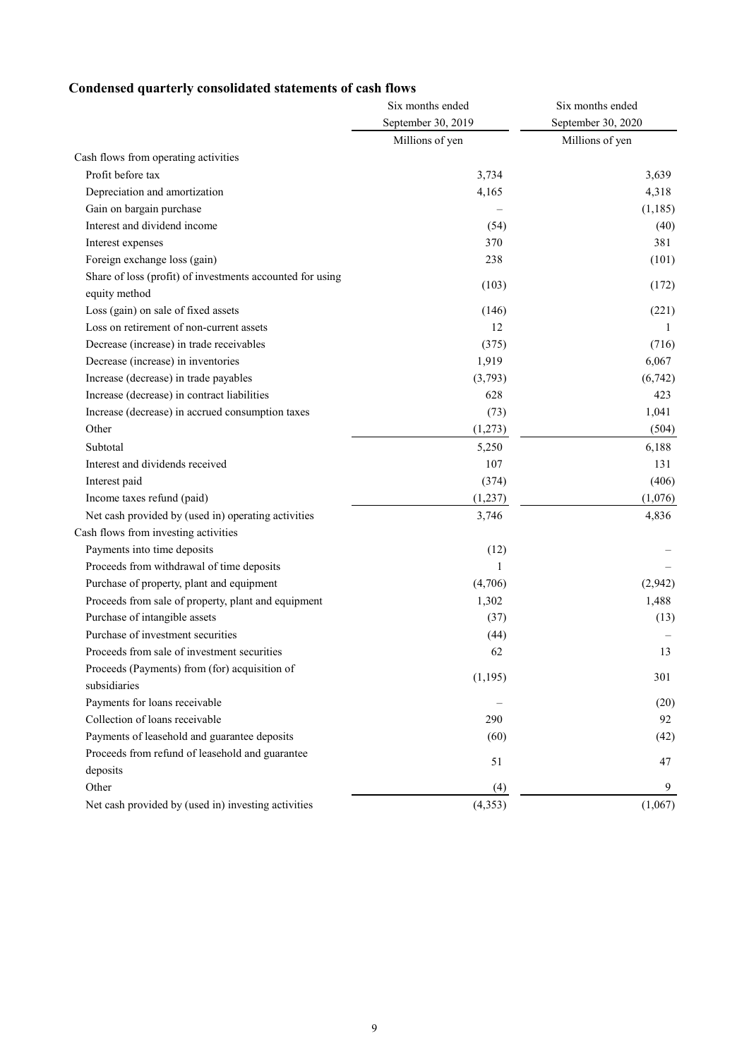### **Condensed quarterly consolidated statements of cash flows**

|                                                                            | Six months ended   | Six months ended<br>September 30, 2020 |  |
|----------------------------------------------------------------------------|--------------------|----------------------------------------|--|
|                                                                            | September 30, 2019 |                                        |  |
|                                                                            | Millions of yen    | Millions of yen                        |  |
| Cash flows from operating activities                                       |                    |                                        |  |
| Profit before tax                                                          | 3,734              | 3,639                                  |  |
| Depreciation and amortization                                              | 4,165              | 4,318                                  |  |
| Gain on bargain purchase                                                   |                    | (1, 185)                               |  |
| Interest and dividend income                                               | (54)               | (40)                                   |  |
| Interest expenses                                                          | 370                | 381                                    |  |
| Foreign exchange loss (gain)                                               | 238                | (101)                                  |  |
| Share of loss (profit) of investments accounted for using<br>equity method | (103)              | (172)                                  |  |
| Loss (gain) on sale of fixed assets                                        | (146)              | (221)                                  |  |
| Loss on retirement of non-current assets                                   | 12                 | 1                                      |  |
| Decrease (increase) in trade receivables                                   | (375)              | (716)                                  |  |
| Decrease (increase) in inventories                                         | 1,919              | 6,067                                  |  |
| Increase (decrease) in trade payables                                      | (3,793)            | (6,742)                                |  |
| Increase (decrease) in contract liabilities                                | 628                | 423                                    |  |
| Increase (decrease) in accrued consumption taxes                           | (73)               | 1,041                                  |  |
| Other                                                                      | (1,273)            | (504)                                  |  |
| Subtotal                                                                   | 5,250              | 6,188                                  |  |
| Interest and dividends received                                            | 107                | 131                                    |  |
| Interest paid                                                              | (374)              | (406)                                  |  |
| Income taxes refund (paid)                                                 | (1,237)            | (1,076)                                |  |
| Net cash provided by (used in) operating activities                        | 3,746              | 4,836                                  |  |
| Cash flows from investing activities                                       |                    |                                        |  |
| Payments into time deposits                                                | (12)               |                                        |  |
| Proceeds from withdrawal of time deposits                                  | 1                  |                                        |  |
| Purchase of property, plant and equipment                                  | (4,706)            | (2,942)                                |  |
| Proceeds from sale of property, plant and equipment                        | 1,302              | 1,488                                  |  |
| Purchase of intangible assets                                              | (37)               | (13)                                   |  |
| Purchase of investment securities                                          | (44)               |                                        |  |
| Proceeds from sale of investment securities                                | 62                 | 13                                     |  |
| Proceeds (Payments) from (for) acquisition of<br>subsidiaries              | (1, 195)           | 301                                    |  |
| Payments for loans receivable                                              |                    | (20)                                   |  |
| Collection of loans receivable                                             | 290                | 92                                     |  |
| Payments of leasehold and guarantee deposits                               | (60)               | (42)                                   |  |
| Proceeds from refund of leasehold and guarantee                            |                    |                                        |  |
| deposits                                                                   | 51                 | 47                                     |  |
| Other                                                                      | (4)                | 9                                      |  |
| Net cash provided by (used in) investing activities                        | (4,353)            | (1,067)                                |  |